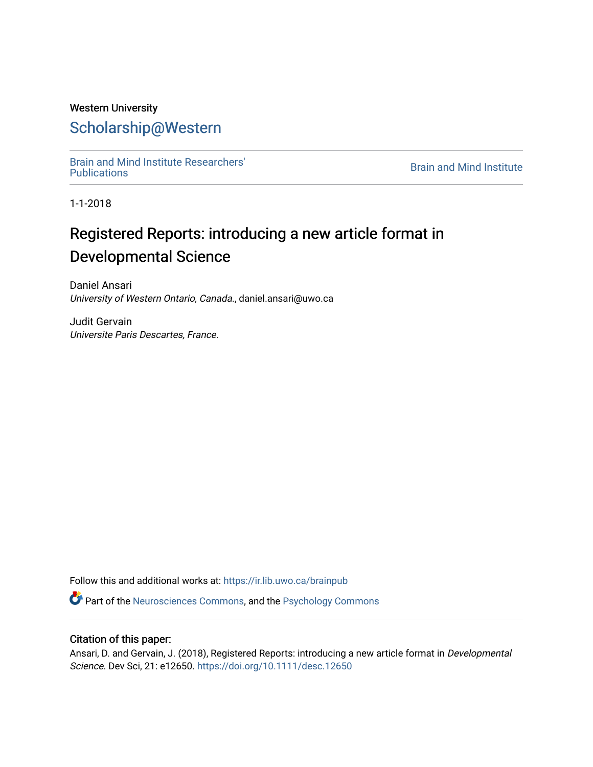## Western University [Scholarship@Western](https://ir.lib.uwo.ca/)

[Brain and Mind Institute Researchers'](https://ir.lib.uwo.ca/brainpub) 

**Brain and Mind Institute** 

1-1-2018

# Registered Reports: introducing a new article format in Developmental Science

Daniel Ansari University of Western Ontario, Canada., daniel.ansari@uwo.ca

Judit Gervain Universite Paris Descartes, France.

Follow this and additional works at: [https://ir.lib.uwo.ca/brainpub](https://ir.lib.uwo.ca/brainpub?utm_source=ir.lib.uwo.ca%2Fbrainpub%2F628&utm_medium=PDF&utm_campaign=PDFCoverPages)

Part of the [Neurosciences Commons](http://network.bepress.com/hgg/discipline/1010?utm_source=ir.lib.uwo.ca%2Fbrainpub%2F628&utm_medium=PDF&utm_campaign=PDFCoverPages), and the [Psychology Commons](http://network.bepress.com/hgg/discipline/404?utm_source=ir.lib.uwo.ca%2Fbrainpub%2F628&utm_medium=PDF&utm_campaign=PDFCoverPages) 

### Citation of this paper:

Ansari, D. and Gervain, J. (2018), Registered Reports: introducing a new article format in Developmental Science. Dev Sci, 21: e12650. <https://doi.org/10.1111/desc.12650>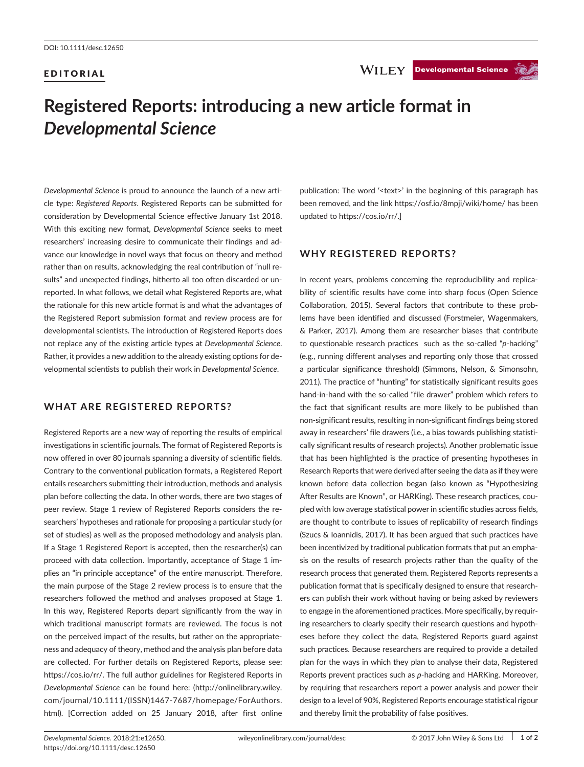#### EDITORIAL

# **Registered Reports: introducing a new article format in**  *Developmental Science*

*Developmental Science* is proud to announce the launch of a new article type: *Registered Reports*. Registered Reports can be submitted for consideration by Developmental Science effective January 1st 2018. With this exciting new format, *Developmental Science* seeks to meet researchers' increasing desire to communicate their findings and advance our knowledge in novel ways that focus on theory and method rather than on results, acknowledging the real contribution of "null results" and unexpected findings, hitherto all too often discarded or unreported. In what follows, we detail what Registered Reports are, what the rationale for this new article format is and what the advantages of the Registered Report submission format and review process are for developmental scientists. The introduction of Registered Reports does not replace any of the existing article types at *Developmental Science*. Rather, it provides a new addition to the already existing options for developmental scientists to publish their work in *Developmental Science*.

### **WHAT ARE REGISTERED REPORTS?**

Registered Reports are a new way of reporting the results of empirical investigations in scientific journals. The format of Registered Reports is now offered in over 80 journals spanning a diversity of scientific fields. Contrary to the conventional publication formats, a Registered Report entails researchers submitting their introduction, methods and analysis plan before collecting the data. In other words, there are two stages of peer review. Stage 1 review of Registered Reports considers the researchers' hypotheses and rationale for proposing a particular study (or set of studies) as well as the proposed methodology and analysis plan. If a Stage 1 Registered Report is accepted, then the researcher(s) can proceed with data collection. Importantly, acceptance of Stage 1 implies an "in principle acceptance" of the entire manuscript. Therefore, the main purpose of the Stage 2 review process is to ensure that the researchers followed the method and analyses proposed at Stage 1. In this way, Registered Reports depart significantly from the way in which traditional manuscript formats are reviewed. The focus is not on the perceived impact of the results, but rather on the appropriateness and adequacy of theory, method and the analysis plan before data are collected. For further details on Registered Reports, please see: [https://cos.io/rr/.](https://cos.io/rr/) The full author guidelines for Registered Reports in *Developmental Science* can be found here: [\(http://onlinelibrary.wiley.](http://onlinelibrary.wiley.com/journal/10.1111/(ISSN)1467-7687/homepage/ForAuthors.html) [com/journal/10.1111/\(ISSN\)1467-7687/homepage/ForAuthors.](http://onlinelibrary.wiley.com/journal/10.1111/(ISSN)1467-7687/homepage/ForAuthors.html) [html](http://onlinelibrary.wiley.com/journal/10.1111/(ISSN)1467-7687/homepage/ForAuthors.html)). [Correction added on 25 January 2018, after first online

publication: The word '<text>' in the beginning of this paragraph has been removed, and the link [https://osf.io/8mpji/wiki/home/ has been](https://osf.io/8mpji/wiki/home/has been updated to https://cos.io/rr/)  [updated to https://cos.io/rr/](https://osf.io/8mpji/wiki/home/has been updated to https://cos.io/rr/).]

#### **WHY REGISTERED REPORTS?**

In recent years, problems concerning the reproducibility and replicability of scientific results have come into sharp focus (Open Science Collaboration, 2015). Several factors that contribute to these problems have been identified and discussed (Forstmeier, Wagenmakers, & Parker, 2017). Among them are researcher biases that contribute to questionable research practices such as the so-called "*p*-hacking" (e.g., running different analyses and reporting only those that crossed a particular significance threshold) (Simmons, Nelson, & Simonsohn, 2011). The practice of "hunting" for statistically significant results goes hand-in-hand with the so-called "file drawer" problem which refers to the fact that significant results are more likely to be published than non-significant results, resulting in non-significant findings being stored away in researchers' file drawers (i.e., a bias towards publishing statistically significant results of research projects). Another problematic issue that has been highlighted is the practice of presenting hypotheses in Research Reports that were derived after seeing the data as if they were known before data collection began (also known as "Hypothesizing After Results are Known", or HARKing). These research practices, coupled with low average statistical power in scientific studies across fields, are thought to contribute to issues of replicability of research findings (Szucs & Ioannidis, 2017). It has been argued that such practices have been incentivized by traditional publication formats that put an emphasis on the results of research projects rather than the quality of the research process that generated them. Registered Reports represents a publication format that is specifically designed to ensure that researchers can publish their work without having or being asked by reviewers to engage in the aforementioned practices. More specifically, by requiring researchers to clearly specify their research questions and hypotheses before they collect the data, Registered Reports guard against such practices. Because researchers are required to provide a detailed plan for the ways in which they plan to analyse their data, Registered Reports prevent practices such as *p*-hacking and HARKing. Moreover, by requiring that researchers report a power analysis and power their design to a level of 90%, Registered Reports encourage statistical rigour and thereby limit the probability of false positives.